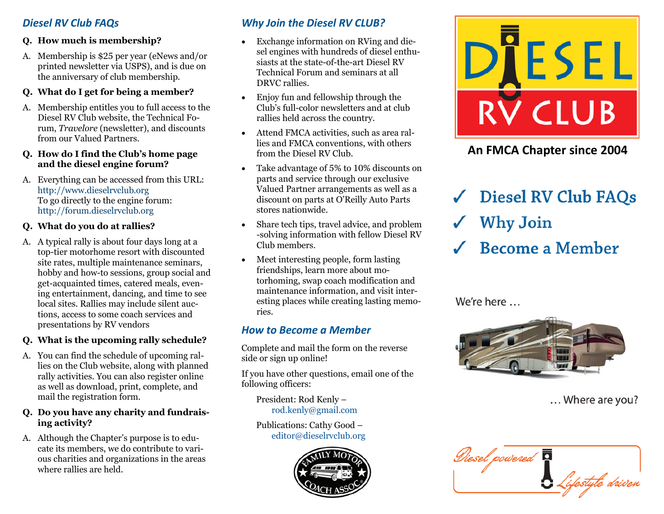# *Diesel RV Club FAQs*

## **Q. How much is membership?**

A. Membership is \$25 per year (eNews and/or printed newsletter via USPS), and is due on the anniversary of club membership.

#### **Q. What do I get for being a member?**

A. Membership entitles you to full access to the Diesel RV Club website, the Technical Forum, *Travelore* (newsletter), and discounts from our Valued Partners.

#### **Q. How do I find the Club's home page and the diesel engine forum?**

A. Everything can be accessed from this URL: <http://www.dieselrvclub.org> To go directly to the engine forum: <http://forum.dieselrvclub.org>

## **Q. What do you do at rallies?**

A. A typical rally is about four days long at a top-tier motorhome resort with discounted site rates, multiple maintenance seminars, hobby and how-to sessions, group social and get-acquainted times, catered meals, evening entertainment, dancing, and time to see local sites. Rallies may include silent auctions, access to some coach services and presentations by RV vendors

## **Q. What is the upcoming rally schedule?**

A. You can find the schedule of upcoming rallies on the Club website, along with planned rally activities. You can also register online as well as download, print, complete, and mail the registration form.

### **Q. Do you have any charity and fundraising activity?**

A. Although the Chapter's purpose is to educate its members, we do contribute to various charities and organizations in the areas where rallies are held.

# *Why Join the Diesel RV CLUB?*

- Exchange information on RVing and diesel engines with hundreds of diesel enthusiasts at the state-of-the-art Diesel RV Technical Forum and seminars at all DRVC rallies.
- Enjoy fun and fellowship through the Club's full-color newsletters and at club rallies held across the country.
- Attend FMCA activities, such as area rallies and FMCA conventions, with others from the Diesel RV Club.
- Take advantage of 5% to 10% discounts on parts and service through our exclusive Valued Partner arrangements as well as a discount on parts at O'Reilly Auto Parts stores nationwide.
- Share tech tips, travel advice, and problem -solving information with fellow Diesel RV Club members.
- Meet interesting people, form lasting friendships, learn more about motorhoming, swap coach modification and maintenance information, and visit interesting places while creating lasting memories.

# *How to Become a Member*

Complete and mail the form on the reverse side or sign up online!

If you have other questions, email one of the following officers:

President: Rod Kenly – [rod.kenly@gmail.com](mailto:rod.kenly@gmail.com)

Publications: Cathy Good – [editor@dieselrvclub.org](mailto:editor@dieselrvclub.org)





**An FMCA Chapter since 2004**

**Diesel RV Club FAQs Why Join Become a Member** 

We're here ...



... Where are you?